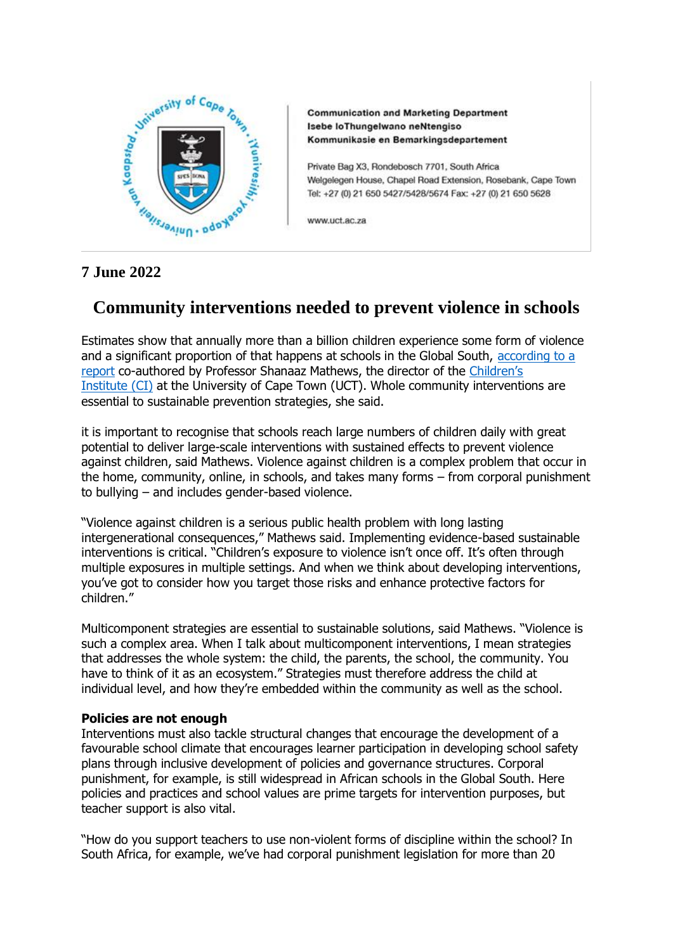

**Communication and Marketing Department** Isebe loThungelwano neNtengiso Kommunikasie en Bemarkingsdepartement

Private Bag X3, Rondebosch 7701, South Africa Welgelegen House, Chapel Road Extension, Rosebank, Cape Town Tel: +27 (0) 21 650 5427/5428/5674 Fax: +27 (0) 21 650 5628

www.uct.ac.za

## **7 June 2022**

## **Community interventions needed to prevent violence in schools**

Estimates show that annually more than a billion children experience some form of violence and a significant proportion of that happens at schools in the Global South, [according to a](https://coalitionforgoodschools.org/wp-content/uploads/2022/02/Coalition_for_Good_Scools_Evidence_Review_R6.pdf)  [report](https://coalitionforgoodschools.org/wp-content/uploads/2022/02/Coalition_for_Good_Scools_Evidence_Review_R6.pdf) co-authored by Professor Shanaaz Mathews, the director of the [Children's](http://www.ci.uct.ac.za/)  [Institute](http://www.ci.uct.ac.za/) (CI) at the University of Cape Town (UCT). Whole community interventions are essential to sustainable prevention strategies, she said.

it is important to recognise that schools reach large numbers of children daily with great potential to deliver large-scale interventions with sustained effects to prevent violence against children, said Mathews. Violence against children is a complex problem that occur in the home, community, online, in schools, and takes many forms – from corporal punishment to bullying – and includes gender-based violence.

"Violence against children is a serious public health problem with long lasting intergenerational consequences," Mathews said. Implementing evidence-based sustainable interventions is critical. "Children's exposure to violence isn't once off. It's often through multiple exposures in multiple settings. And when we think about developing interventions, you've got to consider how you target those risks and enhance protective factors for children."

Multicomponent strategies are essential to sustainable solutions, said Mathews. "Violence is such a complex area. When I talk about multicomponent interventions, I mean strategies that addresses the whole system: the child, the parents, the school, the community. You have to think of it as an ecosystem." Strategies must therefore address the child at individual level, and how they're embedded within the community as well as the school.

## **Policies are not enough**

Interventions must also tackle structural changes that encourage the development of a favourable school climate that encourages learner participation in developing school safety plans through inclusive development of policies and governance structures. Corporal punishment, for example, is still widespread in African schools in the Global South. Here policies and practices and school values are prime targets for intervention purposes, but teacher support is also vital.

"How do you support teachers to use non-violent forms of discipline within the school? In South Africa, for example, we've had corporal punishment legislation for more than 20